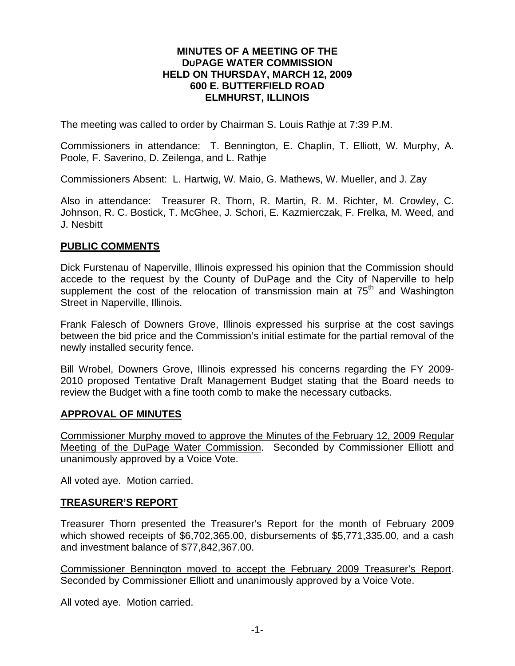#### **MINUTES OF A MEETING OF THE DUPAGE WATER COMMISSION HELD ON THURSDAY, MARCH 12, 2009 600 E. BUTTERFIELD ROAD ELMHURST, ILLINOIS**

The meeting was called to order by Chairman S. Louis Rathje at 7:39 P.M.

Commissioners in attendance: T. Bennington, E. Chaplin, T. Elliott, W. Murphy, A. Poole, F. Saverino, D. Zeilenga, and L. Rathje

Commissioners Absent: L. Hartwig, W. Maio, G. Mathews, W. Mueller, and J. Zay

Also in attendance: Treasurer R. Thorn, R. Martin, R. M. Richter, M. Crowley, C. Johnson, R. C. Bostick, T. McGhee, J. Schori, E. Kazmierczak, F. Frelka, M. Weed, and J. Nesbitt

#### **PUBLIC COMMENTS**

Dick Furstenau of Naperville, Illinois expressed his opinion that the Commission should accede to the request by the County of DuPage and the City of Naperville to help supplement the cost of the relocation of transmission main at  $75<sup>th</sup>$  and Washington Street in Naperville, Illinois.

Frank Falesch of Downers Grove, Illinois expressed his surprise at the cost savings between the bid price and the Commission's initial estimate for the partial removal of the newly installed security fence.

Bill Wrobel, Downers Grove, Illinois expressed his concerns regarding the FY 2009- 2010 proposed Tentative Draft Management Budget stating that the Board needs to review the Budget with a fine tooth comb to make the necessary cutbacks.

#### **APPROVAL OF MINUTES**

Commissioner Murphy moved to approve the Minutes of the February 12, 2009 Regular Meeting of the DuPage Water Commission. Seconded by Commissioner Elliott and unanimously approved by a Voice Vote.

All voted aye. Motion carried.

### **TREASURER'S REPORT**

Treasurer Thorn presented the Treasurer's Report for the month of February 2009 which showed receipts of \$6,702,365.00, disbursements of \$5,771,335.00, and a cash and investment balance of \$77,842,367.00.

Commissioner Bennington moved to accept the February 2009 Treasurer's Report. Seconded by Commissioner Elliott and unanimously approved by a Voice Vote.

All voted aye. Motion carried.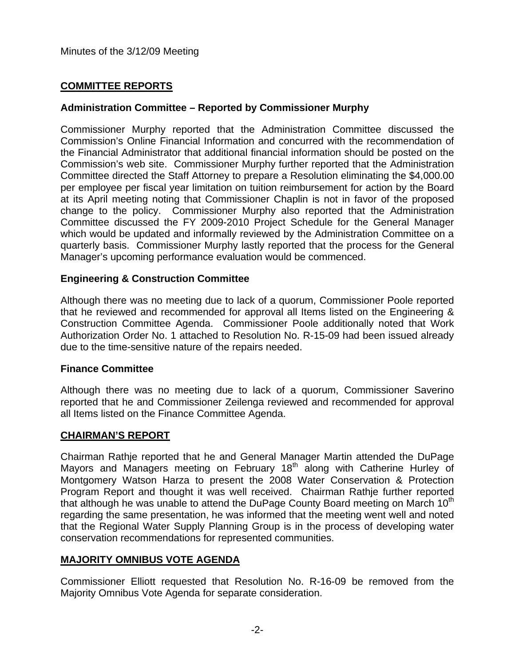# **COMMITTEE REPORTS**

# **Administration Committee – Reported by Commissioner Murphy**

Commissioner Murphy reported that the Administration Committee discussed the Commission's Online Financial Information and concurred with the recommendation of the Financial Administrator that additional financial information should be posted on the Commission's web site. Commissioner Murphy further reported that the Administration Committee directed the Staff Attorney to prepare a Resolution eliminating the \$4,000.00 per employee per fiscal year limitation on tuition reimbursement for action by the Board at its April meeting noting that Commissioner Chaplin is not in favor of the proposed change to the policy. Commissioner Murphy also reported that the Administration Committee discussed the FY 2009-2010 Project Schedule for the General Manager which would be updated and informally reviewed by the Administration Committee on a quarterly basis. Commissioner Murphy lastly reported that the process for the General Manager's upcoming performance evaluation would be commenced.

## **Engineering & Construction Committee**

Although there was no meeting due to lack of a quorum, Commissioner Poole reported that he reviewed and recommended for approval all Items listed on the Engineering & Construction Committee Agenda. Commissioner Poole additionally noted that Work Authorization Order No. 1 attached to Resolution No. R-15-09 had been issued already due to the time-sensitive nature of the repairs needed.

### **Finance Committee**

Although there was no meeting due to lack of a quorum, Commissioner Saverino reported that he and Commissioner Zeilenga reviewed and recommended for approval all Items listed on the Finance Committee Agenda.

### **CHAIRMAN'S REPORT**

Chairman Rathje reported that he and General Manager Martin attended the DuPage Mayors and Managers meeting on February 18<sup>th</sup> along with Catherine Hurley of Montgomery Watson Harza to present the 2008 Water Conservation & Protection Program Report and thought it was well received. Chairman Rathje further reported that although he was unable to attend the DuPage County Board meeting on March  $10<sup>th</sup>$ regarding the same presentation, he was informed that the meeting went well and noted that the Regional Water Supply Planning Group is in the process of developing water conservation recommendations for represented communities.

# **MAJORITY OMNIBUS VOTE AGENDA**

Commissioner Elliott requested that Resolution No. R-16-09 be removed from the Majority Omnibus Vote Agenda for separate consideration.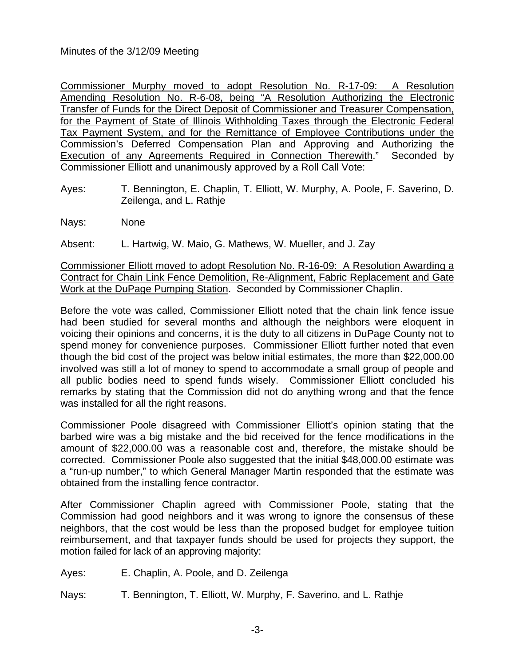## Minutes of the 3/12/09 Meeting

Commissioner Murphy moved to adopt Resolution No. R-17-09: A Resolution Amending Resolution No. R-6-08, being "A Resolution Authorizing the Electronic Transfer of Funds for the Direct Deposit of Commissioner and Treasurer Compensation, for the Payment of State of Illinois Withholding Taxes through the Electronic Federal Tax Payment System, and for the Remittance of Employee Contributions under the Commission's Deferred Compensation Plan and Approving and Authorizing the Execution of any Agreements Required in Connection Therewith." Seconded by Commissioner Elliott and unanimously approved by a Roll Call Vote:

- Ayes: T. Bennington, E. Chaplin, T. Elliott, W. Murphy, A. Poole, F. Saverino, D. Zeilenga, and L. Rathje
- Nays: None

Absent: L. Hartwig, W. Maio, G. Mathews, W. Mueller, and J. Zay

Commissioner Elliott moved to adopt Resolution No. R-16-09: A Resolution Awarding a Contract for Chain Link Fence Demolition, Re-Alignment, Fabric Replacement and Gate Work at the DuPage Pumping Station. Seconded by Commissioner Chaplin.

Before the vote was called, Commissioner Elliott noted that the chain link fence issue had been studied for several months and although the neighbors were eloquent in voicing their opinions and concerns, it is the duty to all citizens in DuPage County not to spend money for convenience purposes. Commissioner Elliott further noted that even though the bid cost of the project was below initial estimates, the more than \$22,000.00 involved was still a lot of money to spend to accommodate a small group of people and all public bodies need to spend funds wisely. Commissioner Elliott concluded his remarks by stating that the Commission did not do anything wrong and that the fence was installed for all the right reasons.

Commissioner Poole disagreed with Commissioner Elliott's opinion stating that the barbed wire was a big mistake and the bid received for the fence modifications in the amount of \$22,000.00 was a reasonable cost and, therefore, the mistake should be corrected. Commissioner Poole also suggested that the initial \$48,000.00 estimate was a "run-up number," to which General Manager Martin responded that the estimate was obtained from the installing fence contractor.

After Commissioner Chaplin agreed with Commissioner Poole, stating that the Commission had good neighbors and it was wrong to ignore the consensus of these neighbors, that the cost would be less than the proposed budget for employee tuition reimbursement, and that taxpayer funds should be used for projects they support, the motion failed for lack of an approving majority:

- Ayes: E. Chaplin, A. Poole, and D. Zeilenga
- Nays: T. Bennington, T. Elliott, W. Murphy, F. Saverino, and L. Rathje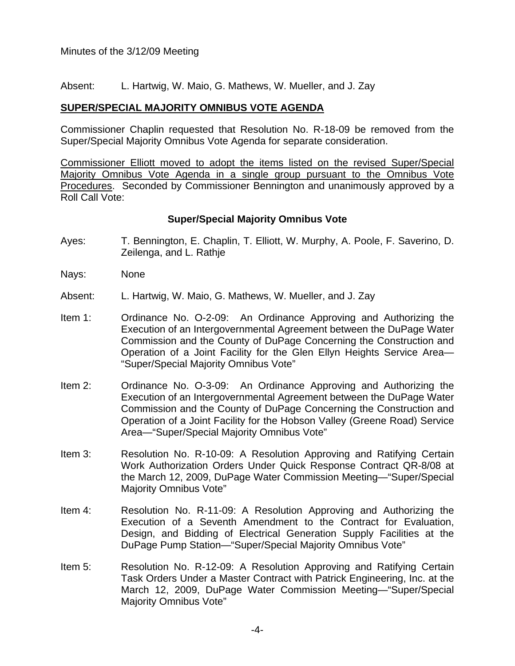Absent: L. Hartwig, W. Maio, G. Mathews, W. Mueller, and J. Zay

## **SUPER/SPECIAL MAJORITY OMNIBUS VOTE AGENDA**

Commissioner Chaplin requested that Resolution No. R-18-09 be removed from the Super/Special Majority Omnibus Vote Agenda for separate consideration.

Commissioner Elliott moved to adopt the items listed on the revised Super/Special Majority Omnibus Vote Agenda in a single group pursuant to the Omnibus Vote Procedures. Seconded by Commissioner Bennington and unanimously approved by a Roll Call Vote:

### **Super/Special Majority Omnibus Vote**

- Ayes: T. Bennington, E. Chaplin, T. Elliott, W. Murphy, A. Poole, F. Saverino, D. Zeilenga, and L. Rathje
- Nays: None
- Absent: L. Hartwig, W. Maio, G. Mathews, W. Mueller, and J. Zay
- Item 1: Ordinance No. O-2-09: An Ordinance Approving and Authorizing the Execution of an Intergovernmental Agreement between the DuPage Water Commission and the County of DuPage Concerning the Construction and Operation of a Joint Facility for the Glen Ellyn Heights Service Area— "Super/Special Majority Omnibus Vote"
- Item 2: Ordinance No. O-3-09: An Ordinance Approving and Authorizing the Execution of an Intergovernmental Agreement between the DuPage Water Commission and the County of DuPage Concerning the Construction and Operation of a Joint Facility for the Hobson Valley (Greene Road) Service Area—"Super/Special Majority Omnibus Vote"
- Item 3: Resolution No. R-10-09: A Resolution Approving and Ratifying Certain Work Authorization Orders Under Quick Response Contract QR-8/08 at the March 12, 2009, DuPage Water Commission Meeting—"Super/Special Majority Omnibus Vote"
- Item 4: Resolution No. R-11-09: A Resolution Approving and Authorizing the Execution of a Seventh Amendment to the Contract for Evaluation, Design, and Bidding of Electrical Generation Supply Facilities at the DuPage Pump Station—"Super/Special Majority Omnibus Vote"
- Item 5: Resolution No. R-12-09: A Resolution Approving and Ratifying Certain Task Orders Under a Master Contract with Patrick Engineering, Inc. at the March 12, 2009, DuPage Water Commission Meeting—"Super/Special Majority Omnibus Vote"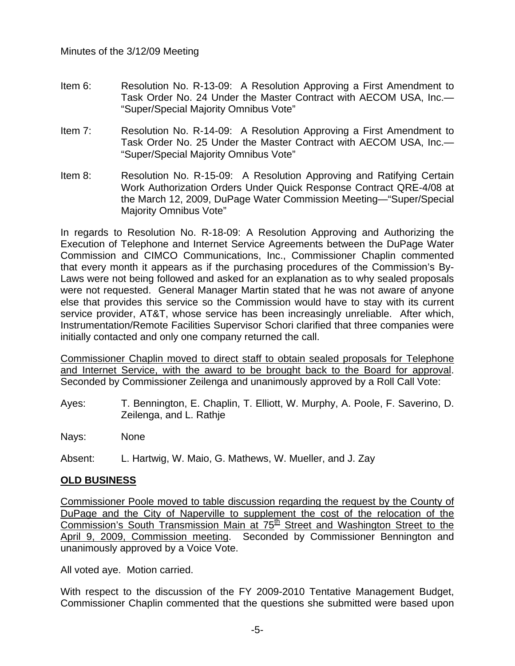- Item 6: Resolution No. R-13-09: A Resolution Approving a First Amendment to Task Order No. 24 Under the Master Contract with AECOM USA, Inc.— "Super/Special Majority Omnibus Vote"
- Item 7: Resolution No. R-14-09: A Resolution Approving a First Amendment to Task Order No. 25 Under the Master Contract with AECOM USA, Inc.— "Super/Special Majority Omnibus Vote"
- Item 8: Resolution No. R-15-09: A Resolution Approving and Ratifying Certain Work Authorization Orders Under Quick Response Contract QRE-4/08 at the March 12, 2009, DuPage Water Commission Meeting—"Super/Special Majority Omnibus Vote"

In regards to Resolution No. R-18-09: A Resolution Approving and Authorizing the Execution of Telephone and Internet Service Agreements between the DuPage Water Commission and CIMCO Communications, Inc., Commissioner Chaplin commented that every month it appears as if the purchasing procedures of the Commission's By-Laws were not being followed and asked for an explanation as to why sealed proposals were not requested. General Manager Martin stated that he was not aware of anyone else that provides this service so the Commission would have to stay with its current service provider, AT&T, whose service has been increasingly unreliable. After which, Instrumentation/Remote Facilities Supervisor Schori clarified that three companies were initially contacted and only one company returned the call.

Commissioner Chaplin moved to direct staff to obtain sealed proposals for Telephone and Internet Service, with the award to be brought back to the Board for approval. Seconded by Commissioner Zeilenga and unanimously approved by a Roll Call Vote:

Ayes: T. Bennington, E. Chaplin, T. Elliott, W. Murphy, A. Poole, F. Saverino, D. Zeilenga, and L. Rathje

Nays: None

Absent: L. Hartwig, W. Maio, G. Mathews, W. Mueller, and J. Zay

# **OLD BUSINESS**

Commissioner Poole moved to table discussion regarding the request by the County of DuPage and the City of Naperville to supplement the cost of the relocation of the Commission's South Transmission Main at  $75<sup>th</sup>$  Street and Washington Street to the April 9, 2009, Commission meeting. Seconded by Commissioner Bennington and unanimously approved by a Voice Vote.

All voted aye. Motion carried.

With respect to the discussion of the FY 2009-2010 Tentative Management Budget, Commissioner Chaplin commented that the questions she submitted were based upon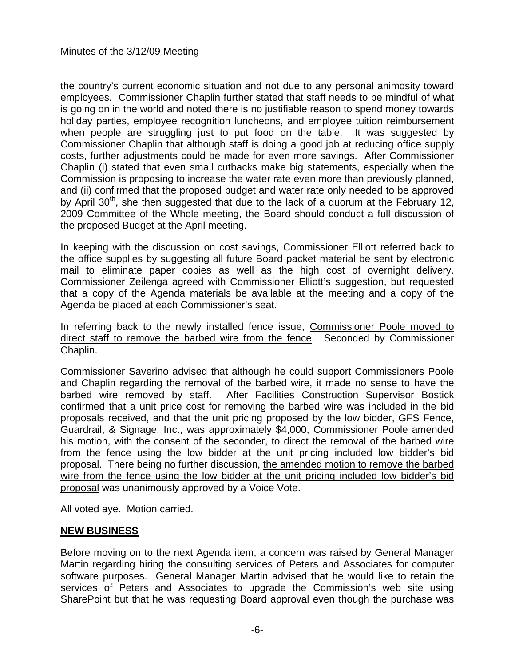the country's current economic situation and not due to any personal animosity toward employees. Commissioner Chaplin further stated that staff needs to be mindful of what is going on in the world and noted there is no justifiable reason to spend money towards holiday parties, employee recognition luncheons, and employee tuition reimbursement when people are struggling just to put food on the table. It was suggested by Commissioner Chaplin that although staff is doing a good job at reducing office supply costs, further adjustments could be made for even more savings. After Commissioner Chaplin (i) stated that even small cutbacks make big statements, especially when the Commission is proposing to increase the water rate even more than previously planned, and (ii) confirmed that the proposed budget and water rate only needed to be approved by April  $30<sup>th</sup>$ , she then suggested that due to the lack of a guorum at the February 12, 2009 Committee of the Whole meeting, the Board should conduct a full discussion of the proposed Budget at the April meeting.

In keeping with the discussion on cost savings, Commissioner Elliott referred back to the office supplies by suggesting all future Board packet material be sent by electronic mail to eliminate paper copies as well as the high cost of overnight delivery. Commissioner Zeilenga agreed with Commissioner Elliott's suggestion, but requested that a copy of the Agenda materials be available at the meeting and a copy of the Agenda be placed at each Commissioner's seat.

In referring back to the newly installed fence issue, Commissioner Poole moved to direct staff to remove the barbed wire from the fence. Seconded by Commissioner Chaplin.

Commissioner Saverino advised that although he could support Commissioners Poole and Chaplin regarding the removal of the barbed wire, it made no sense to have the barbed wire removed by staff. After Facilities Construction Supervisor Bostick confirmed that a unit price cost for removing the barbed wire was included in the bid proposals received, and that the unit pricing proposed by the low bidder, GFS Fence, Guardrail, & Signage, Inc., was approximately \$4,000, Commissioner Poole amended his motion, with the consent of the seconder, to direct the removal of the barbed wire from the fence using the low bidder at the unit pricing included low bidder's bid proposal. There being no further discussion, the amended motion to remove the barbed wire from the fence using the low bidder at the unit pricing included low bidder's bid proposal was unanimously approved by a Voice Vote.

All voted aye. Motion carried.

# **NEW BUSINESS**

Before moving on to the next Agenda item, a concern was raised by General Manager Martin regarding hiring the consulting services of Peters and Associates for computer software purposes. General Manager Martin advised that he would like to retain the services of Peters and Associates to upgrade the Commission's web site using SharePoint but that he was requesting Board approval even though the purchase was